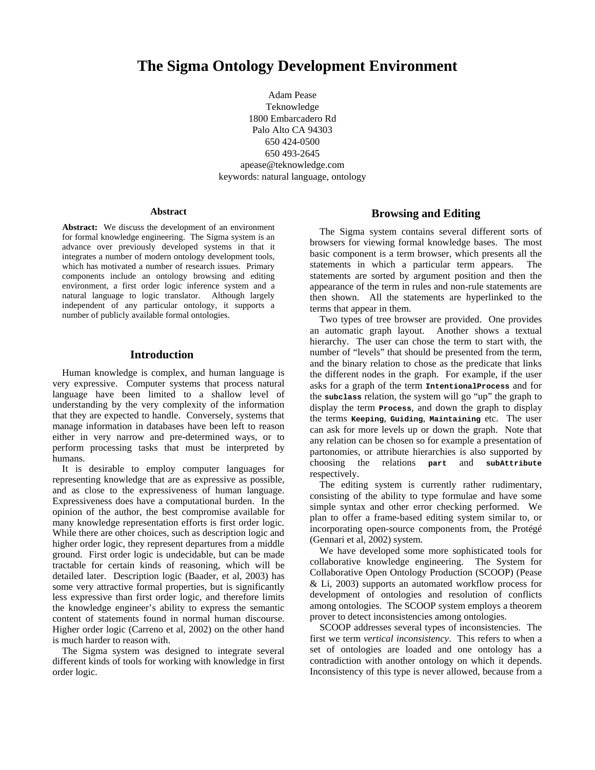Adam Pease Teknowledge 1800 Embarcadero Rd Palo Alto CA 94303 650 424-0500 650 493-2645 apease@teknowledge.com keywords: natural language, ontology

#### **Abstract**

**Abstract:** We discuss the development of an environment for formal knowledge engineering. The Sigma system is an advance over previously developed systems in that it integrates a number of modern ontology development tools, which has motivated a number of research issues. Primary components include an ontology browsing and editing environment, a first order logic inference system and a natural language to logic translator. Although largely independent of any particular ontology, it supports a number of publicly available formal ontologies.

## **Introduction**

Human knowledge is complex, and human language is very expressive. Computer systems that process natural language have been limited to a shallow level of understanding by the very complexity of the information that they are expected to handle. Conversely, systems that manage information in databases have been left to reason either in very narrow and pre-determined ways, or to perform processing tasks that must be interpreted by humans.

It is desirable to employ computer languages for representing knowledge that are as expressive as possible, and as close to the expressiveness of human language. Expressiveness does have a computational burden. In the opinion of the author, the best compromise available for many knowledge representation efforts is first order logic. While there are other choices, such as description logic and higher order logic, they represent departures from a middle ground. First order logic is undecidable, but can be made tractable for certain kinds of reasoning, which will be detailed later. Description logic (Baader, et al, 2003) has some very attractive formal properties, but is significantly less expressive than first order logic, and therefore limits the knowledge engineer's ability to express the semantic content of statements found in normal human discourse. Higher order logic (Carreno et al, 2002) on the other hand is much harder to reason with.

The Sigma system was designed to integrate several different kinds of tools for working with knowledge in first order logic.

## **Browsing and Editing**

The Sigma system contains several different sorts of browsers for viewing formal knowledge bases. The most basic component is a term browser, which presents all the statements in which a particular term appears. The statements are sorted by argument position and then the appearance of the term in rules and non-rule statements are then shown. All the statements are hyperlinked to the terms that appear in them.

Two types of tree browser are provided. One provides an automatic graph layout. Another shows a textual hierarchy. The user can chose the term to start with, the number of "levels" that should be presented from the term, and the binary relation to chose as the predicate that links the different nodes in the graph. For example, if the user asks for a graph of the term **IntentionalProcess** and for the **subclass** relation, the system will go "up" the graph to display the term **Process**, and down the graph to display the terms **Keeping**, **Guiding**, **Maintaining** etc. The user can ask for more levels up or down the graph. Note that any relation can be chosen so for example a presentation of partonomies, or attribute hierarchies is also supported by choosing the relations **part** and **subAttribute** respectively.

The editing system is currently rather rudimentary, consisting of the ability to type formulae and have some simple syntax and other error checking performed. We plan to offer a frame-based editing system similar to, or incorporating open-source components from, the Protégé (Gennari et al, 2002) system.

We have developed some more sophisticated tools for collaborative knowledge engineering. The System for Collaborative Open Ontology Production (SCOOP) (Pease & Li, 2003) supports an automated workflow process for development of ontologies and resolution of conflicts among ontologies. The SCOOP system employs a theorem prover to detect inconsistencies among ontologies.

SCOOP addresses several types of inconsistencies. The first we term *vertical inconsistency*. This refers to when a set of ontologies are loaded and one ontology has a contradiction with another ontology on which it depends. Inconsistency of this type is never allowed, because from a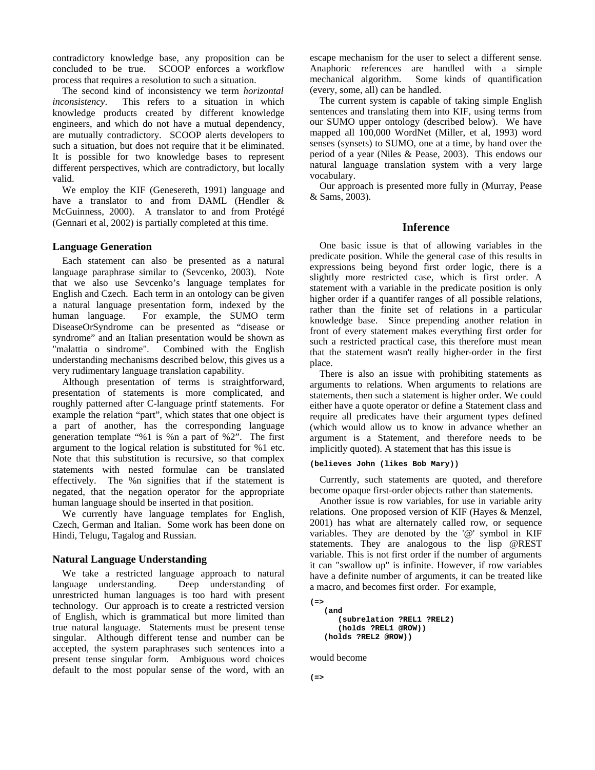contradictory knowledge base, any proposition can be concluded to be true. SCOOP enforces a workflow process that requires a resolution to such a situation.

The second kind of inconsistency we term *horizontal inconsistency*. This refers to a situation in which knowledge products created by different knowledge engineers, and which do not have a mutual dependency, are mutually contradictory. SCOOP alerts developers to such a situation, but does not require that it be eliminated. It is possible for two knowledge bases to represent different perspectives, which are contradictory, but locally valid.

We employ the KIF (Genesereth, 1991) language and have a translator to and from DAML (Hendler & McGuinness, 2000). A translator to and from Protégé (Gennari et al, 2002) is partially completed at this time.

### **Language Generation**

Each statement can also be presented as a natural language paraphrase similar to (Sevcenko, 2003). Note that we also use Sevcenko's language templates for English and Czech. Each term in an ontology can be given a natural language presentation form, indexed by the human language. For example, the SUMO term DiseaseOrSyndrome can be presented as "disease or syndrome" and an Italian presentation would be shown as "malattia o sindrome". Combined with the English understanding mechanisms described below, this gives us a very rudimentary language translation capability.

Although presentation of terms is straightforward, presentation of statements is more complicated, and roughly patterned after C-language printf statements. For example the relation "part", which states that one object is a part of another, has the corresponding language generation template "%1 is %n a part of %2". The first argument to the logical relation is substituted for %1 etc. Note that this substitution is recursive, so that complex statements with nested formulae can be translated effectively. The %n signifies that if the statement is negated, that the negation operator for the appropriate human language should be inserted in that position.

We currently have language templates for English, Czech, German and Italian. Some work has been done on Hindi, Telugu, Tagalog and Russian.

#### **Natural Language Understanding**

We take a restricted language approach to natural language understanding. Deep understanding of unrestricted human languages is too hard with present technology. Our approach is to create a restricted version of English, which is grammatical but more limited than true natural language. Statements must be present tense singular. Although different tense and number can be accepted, the system paraphrases such sentences into a present tense singular form. Ambiguous word choices default to the most popular sense of the word, with an

escape mechanism for the user to select a different sense. Anaphoric references are handled with a simple mechanical algorithm. Some kinds of quantification (every, some, all) can be handled.

The current system is capable of taking simple English sentences and translating them into KIF, using terms from our SUMO upper ontology (described below). We have mapped all 100,000 WordNet (Miller, et al, 1993) word senses (synsets) to SUMO, one at a time, by hand over the period of a year (Niles & Pease, 2003). This endows our natural language translation system with a very large vocabulary.

Our approach is presented more fully in (Murray, Pease & Sams, 2003).

#### **Inference**

One basic issue is that of allowing variables in the predicate position. While the general case of this results in expressions being beyond first order logic, there is a slightly more restricted case, which is first order. A statement with a variable in the predicate position is only higher order if a quantifer ranges of all possible relations, rather than the finite set of relations in a particular knowledge base. Since prepending another relation in front of every statement makes everything first order for such a restricted practical case, this therefore must mean that the statement wasn't really higher-order in the first place.

 There is also an issue with prohibiting statements as arguments to relations. When arguments to relations are statements, then such a statement is higher order. We could either have a quote operator or define a Statement class and require all predicates have their argument types defined (which would allow us to know in advance whether an argument is a Statement, and therefore needs to be implicitly quoted). A statement that has this issue is

### **(believes John (likes Bob Mary))**

Currently, such statements are quoted, and therefore become opaque first-order objects rather than statements.

Another issue is row variables, for use in variable arity relations. One proposed version of KIF (Hayes & Menzel, 2001) has what are alternately called row, or sequence variables. They are denoted by the '@' symbol in KIF statements. They are analogous to the lisp @REST variable. This is not first order if the number of arguments it can "swallow up" is infinite. However, if row variables have a definite number of arguments, it can be treated like a macro, and becomes first order. For example,

```
(=>
    (and
       (subrelation ?REL1 ?REL2)
       (holds ?REL1 @ROW))
    (holds ?REL2 @ROW))
```
would become

**(=>**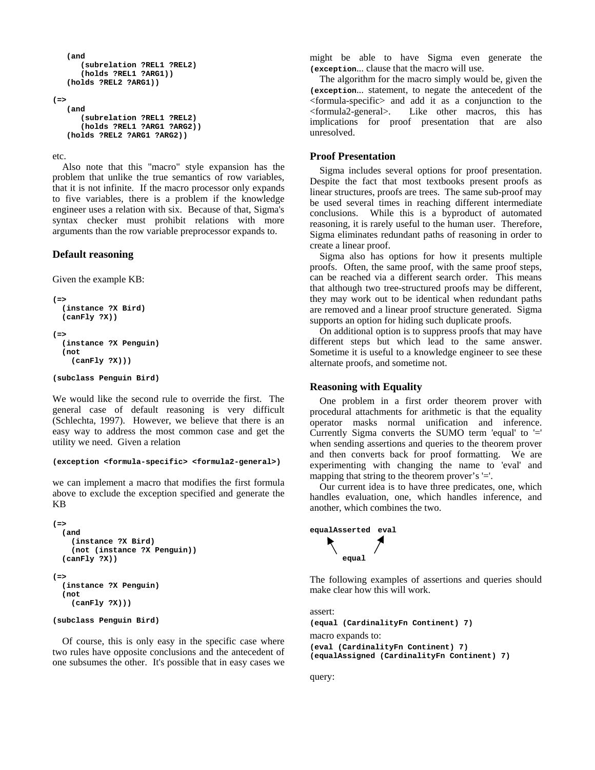```
 (and
       (subrelation ?REL1 ?REL2)
       (holds ?REL1 ?ARG1))
    (holds ?REL2 ?ARG1))
(=>
    (and
       (subrelation ?REL1 ?REL2)
       (holds ?REL1 ?ARG1 ?ARG2))
    (holds ?REL2 ?ARG1 ?ARG2))
```
etc.

Also note that this "macro" style expansion has the problem that unlike the true semantics of row variables, that it is not infinite. If the macro processor only expands to five variables, there is a problem if the knowledge engineer uses a relation with six. Because of that, Sigma's syntax checker must prohibit relations with more arguments than the row variable preprocessor expands to.

#### **Default reasoning**

Given the example KB:

```
(=>
  (instance ?X Bird)
  (canFly ?X))
(=>
   (instance ?X Penguin)
  (not 
     (canFly ?X)))
```

```
(subclass Penguin Bird)
```
We would like the second rule to override the first. The general case of default reasoning is very difficult (Schlechta, 1997). However, we believe that there is an easy way to address the most common case and get the utility we need. Given a relation

```
(exception <formula-specific> <formula2-general>)
```
we can implement a macro that modifies the first formula above to exclude the exception specified and generate the KB

```
(=>
   (and
     (instance ?X Bird)
     (not (instance ?X Penguin))
  (canFly ?X))
(=>
  (instance ?X Penguin)
  (not 
     (canFly ?X)))
(subclass Penguin Bird)
```
Of course, this is only easy in the specific case where two rules have opposite conclusions and the antecedent of one subsumes the other. It's possible that in easy cases we might be able to have Sigma even generate the **(exception**... clause that the macro will use.

The algorithm for the macro simply would be, given the **(exception**... statement, to negate the antecedent of the <formula-specific> and add it as a conjunction to the Like other macros, this has implications for proof presentation that are also unresolved.

#### **Proof Presentation**

Sigma includes several options for proof presentation. Despite the fact that most textbooks present proofs as linear structures, proofs are trees. The same sub-proof may be used several times in reaching different intermediate conclusions. While this is a byproduct of automated reasoning, it is rarely useful to the human user. Therefore, Sigma eliminates redundant paths of reasoning in order to create a linear proof.

Sigma also has options for how it presents multiple proofs. Often, the same proof, with the same proof steps, can be reached via a different search order. This means that although two tree-structured proofs may be different, they may work out to be identical when redundant paths are removed and a linear proof structure generated. Sigma supports an option for hiding such duplicate proofs.

On additional option is to suppress proofs that may have different steps but which lead to the same answer. Sometime it is useful to a knowledge engineer to see these alternate proofs, and sometime not.

### **Reasoning with Equality**

One problem in a first order theorem prover with procedural attachments for arithmetic is that the equality operator masks normal unification and inference. Currently Sigma converts the SUMO term 'equal' to '=' when sending assertions and queries to the theorem prover and then converts back for proof formatting. We are experimenting with changing the name to 'eval' and mapping that string to the theorem prover's '='.

Our current idea is to have three predicates, one, which handles evaluation, one, which handles inference, and another, which combines the two.



The following examples of assertions and queries should make clear how this will work.

```
assert: 
(equal (CardinalityFn Continent) 7)
macro expands to: 
(eval (CardinalityFn Continent) 7)
(equalAssigned (CardinalityFn Continent) 7)
```
query: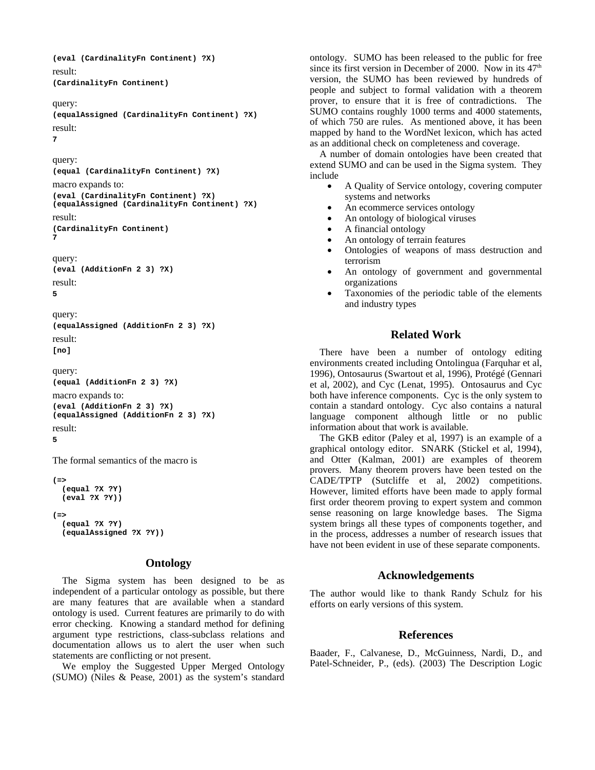```
(eval (CardinalityFn Continent) ?X)
result:
(CardinalityFn Continent)
query:
(equalAssigned (CardinalityFn Continent) ?X)
result:
7
query:
(equal (CardinalityFn Continent) ?X)
macro expands to:
(eval (CardinalityFn Continent) ?X)
(equalAssigned (CardinalityFn Continent) ?X)
```

```
result:
(CardinalityFn Continent)
7
```

```
query:
(eval (AdditionFn 2 3) ?X)
result:
```

```
5
```

```
query:
(equalAssigned (AdditionFn 2 3) ?X)
result:
```

```
[no]
```

```
query:
(equal (AdditionFn 2 3) ?X)
macro expands to:
(eval (AdditionFn 2 3) ?X)
(equalAssigned (AdditionFn 2 3) ?X)
result:
5
```
The formal semantics of the macro is

```
(=>
   (equal ?X ?Y)
  (eval ?X ?Y))
(=> 
  (equal ?X ?Y)
  (equalAssigned ?X ?Y))
```
# **Ontology**

The Sigma system has been designed to be as independent of a particular ontology as possible, but there are many features that are available when a standard ontology is used. Current features are primarily to do with error checking. Knowing a standard method for defining argument type restrictions, class-subclass relations and documentation allows us to alert the user when such statements are conflicting or not present.

We employ the Suggested Upper Merged Ontology (SUMO) (Niles & Pease, 2001) as the system's standard ontology. SUMO has been released to the public for free since its first version in December of 2000. Now in its  $47<sup>th</sup>$ version, the SUMO has been reviewed by hundreds of people and subject to formal validation with a theorem prover, to ensure that it is free of contradictions. The SUMO contains roughly 1000 terms and 4000 statements, of which 750 are rules. As mentioned above, it has been mapped by hand to the WordNet lexicon, which has acted as an additional check on completeness and coverage.

A number of domain ontologies have been created that extend SUMO and can be used in the Sigma system. They include

- A Quality of Service ontology, covering computer systems and networks
- An ecommerce services ontology
- An ontology of biological viruses
- A financial ontology
- An ontology of terrain features
- Ontologies of weapons of mass destruction and terrorism
- An ontology of government and governmental organizations
- Taxonomies of the periodic table of the elements and industry types

# **Related Work**

There have been a number of ontology editing environments created including Ontolingua (Farquhar et al, 1996), Ontosaurus (Swartout et al, 1996), Protégé (Gennari et al, 2002), and Cyc (Lenat, 1995). Ontosaurus and Cyc both have inference components. Cyc is the only system to contain a standard ontology. Cyc also contains a natural language component although little or no public information about that work is available.

The GKB editor (Paley et al, 1997) is an example of a graphical ontology editor. SNARK (Stickel et al, 1994), and Otter (Kalman, 2001) are examples of theorem provers. Many theorem provers have been tested on the CADE/TPTP (Sutcliffe et al, 2002) competitions. However, limited efforts have been made to apply formal first order theorem proving to expert system and common sense reasoning on large knowledge bases. The Sigma system brings all these types of components together, and in the process, addresses a number of research issues that have not been evident in use of these separate components.

# **Acknowledgements**

The author would like to thank Randy Schulz for his efforts on early versions of this system.

## **References**

Baader, F., Calvanese, D., McGuinness, Nardi, D., and Patel-Schneider, P., (eds). (2003) The Description Logic